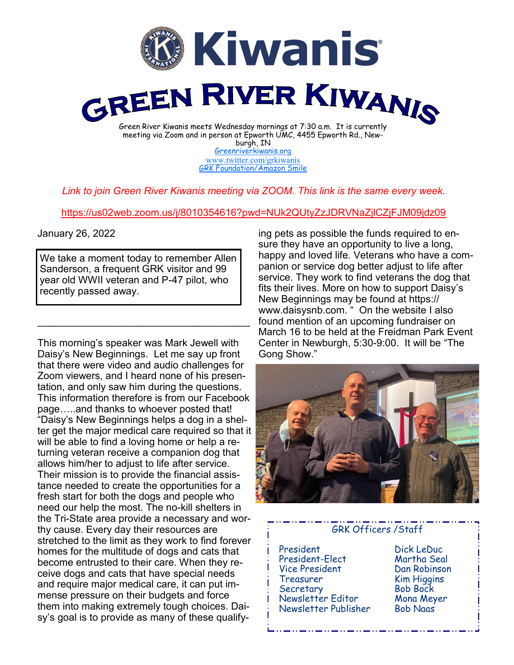

[Greenriverkiwanis.org](http://greenriverkiwanis.org/default.aspx) [www.twitter.com/grkiwanis](http://www.twitter.com/grkiwanis) [GRK Foundation/Amazon Smile](https://smile.amazon.com/ch/81-0946403)

## *Link to join Green River Kiwanis meeting via ZOOM. This link is the same every week.*

## <https://us02web.zoom.us/j/8010354616?pwd=NUk2QUtyZzJDRVNaZjlCZjFJM09jdz09>

## January 26, 2022

We take a moment today to remember Allen Sanderson, a frequent GRK visitor and 99 year old WWII veteran and P-47 pilot, who recently passed away.

 $\mathcal{L}_\text{max}$  , and the set of the set of the set of the set of the set of the set of the set of the set of the set of the set of the set of the set of the set of the set of the set of the set of the set of the set of the

This morning's speaker was Mark Jewell with Daisy's New Beginnings. Let me say up front that there were video and audio challenges for Zoom viewers, and I heard none of his presentation, and only saw him during the questions. This information therefore is from our Facebook page…..and thanks to whoever posted that! "Daisy's New Beginnings helps a dog in a shelter get the major medical care required so that it will be able to find a loving home or help a returning veteran receive a companion dog that allows him/her to adjust to life after service. Their mission is to provide the financial assistance needed to create the opportunities for a fresh start for both the dogs and people who need our help the most. The no-kill shelters in the Tri-State area provide a necessary and worthy cause. Every day their resources are stretched to the limit as they work to find forever homes for the multitude of dogs and cats that become entrusted to their care. When they receive dogs and cats that have special needs and require major medical care, it can put immense pressure on their budgets and force them into making extremely tough choices. Daisy's goal is to provide as many of these qualify-

ing pets as possible the funds required to ensure they have an opportunity to live a long, happy and loved life. Veterans who have a companion or service dog better adjust to life after service. They work to find veterans the dog that fits their lives. More on how to support Daisy's New Beginnings may be found at https:// www.daisysnb.com. " On the website I also found mention of an upcoming fundraiser on March 16 to be held at the Freidman Park Event Center in Newburgh, 5:30-9:00. It will be "The Gong Show."



## GRK Officers /Staff

- President Dick LeDuc President-Elect Vice President Dan Robinson Treasurer Kim Higgins Secretary Newsletter Editor Mona Meyer Newsletter Publisher Bob Naas
	-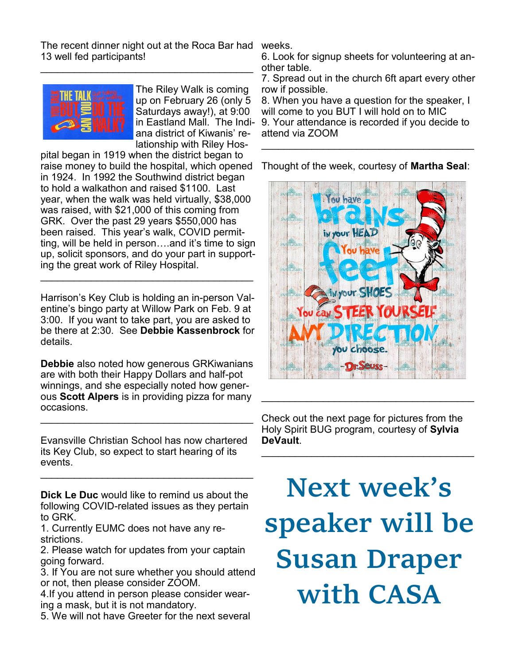The recent dinner night out at the Roca Bar had 13 well fed participants!

 $\mathcal{L}_\text{max}$  , and the set of the set of the set of the set of the set of the set of the set of the set of the set of the set of the set of the set of the set of the set of the set of the set of the set of the set of the



The Riley Walk is coming up on February 26 (only 5 Saturdays away!), at 9:00 in Eastland Mall. The Indiana district of Kiwanis' relationship with Riley Hos-

pital began in 1919 when the district began to raise money to build the hospital, which opened in 1924. In 1992 the Southwind district began to hold a walkathon and raised \$1100. Last year, when the walk was held virtually, \$38,000 was raised, with \$21,000 of this coming from GRK. Over the past 29 years \$550,000 has been raised. This year's walk, COVID permitting, will be held in person….and it's time to sign up, solicit sponsors, and do your part in supporting the great work of Riley Hospital.

Harrison's Key Club is holding an in-person Valentine's bingo party at Willow Park on Feb. 9 at 3:00. If you want to take part, you are asked to be there at 2:30. See **Debbie Kassenbrock** for details.

\_\_\_\_\_\_\_\_\_\_\_\_\_\_\_\_\_\_\_\_\_\_\_\_\_\_\_\_\_\_\_\_\_\_\_\_\_\_

**Debbie** also noted how generous GRKiwanians are with both their Happy Dollars and half-pot winnings, and she especially noted how generous **Scott Alpers** is in providing pizza for many occasions.

\_\_\_\_\_\_\_\_\_\_\_\_\_\_\_\_\_\_\_\_\_\_\_\_\_\_\_\_\_\_\_\_\_\_\_\_\_\_

Evansville Christian School has now chartered its Key Club, so expect to start hearing of its events.

\_\_\_\_\_\_\_\_\_\_\_\_\_\_\_\_\_\_\_\_\_\_\_\_\_\_\_\_\_\_\_\_\_\_\_\_\_\_

**Dick Le Duc** would like to remind us about the following COVID-related issues as they pertain to GRK.

1. Currently EUMC does not have any restrictions.

2. Please watch for updates from your captain going forward.

3. If You are not sure whether you should attend or not, then please consider ZOOM.

4.If you attend in person please consider wearing a mask, but it is not mandatory.

5. We will not have Greeter for the next several

weeks.

6. Look for signup sheets for volunteering at another table.

7. Spread out in the church 6ft apart every other row if possible.

8. When you have a question for the speaker, I will come to you BUT I will hold on to MIC

9. Your attendance is recorded if you decide to attend via ZOOM \_\_\_\_\_\_\_\_\_\_\_\_\_\_\_\_\_\_\_\_\_\_\_\_\_\_\_\_\_\_\_\_\_\_\_\_\_\_

Thought of the week, courtesy of **Martha Seal**:



Check out the next page for pictures from the Holy Spirit BUG program, courtesy of **Sylvia DeVault**.  $\mathcal{L}_\text{max}$  , and the set of the set of the set of the set of the set of the set of the set of the set of the set of the set of the set of the set of the set of the set of the set of the set of the set of the set of the

 $\mathcal{L}_\text{max}$  , and the set of the set of the set of the set of the set of the set of the set of the set of the set of the set of the set of the set of the set of the set of the set of the set of the set of the set of the

**Next week's speaker will be Susan Draper with CASA**